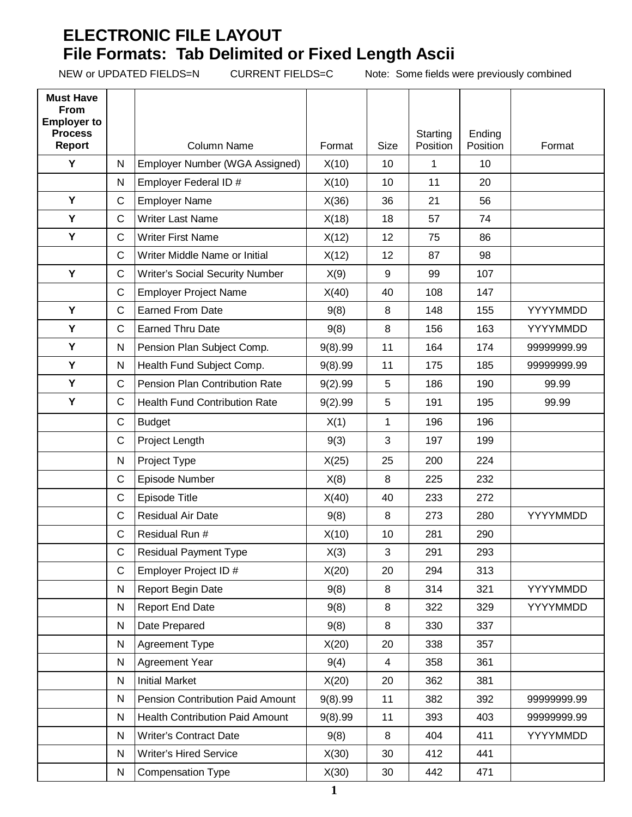## **ELECTRONIC FILE LAYOUT File Formats: Tab Delimited or Fixed Length Ascii**

NEW or UPDATED FIELDS=N CURRENT FIELDS=C Note: Some fields were previously combined

| <b>Must Have</b><br><b>From</b><br><b>Employer to</b><br><b>Process</b> |              |                                        |         |                  |                      |                    |             |
|-------------------------------------------------------------------------|--------------|----------------------------------------|---------|------------------|----------------------|--------------------|-------------|
| Report                                                                  |              | <b>Column Name</b>                     | Format  | <b>Size</b>      | Starting<br>Position | Ending<br>Position | Format      |
| Y                                                                       | N            | Employer Number (WGA Assigned)         | X(10)   | 10               | 1                    | 10                 |             |
|                                                                         | N            | Employer Federal ID #                  | X(10)   | 10               | 11                   | 20                 |             |
| Y                                                                       | $\mathsf{C}$ | <b>Employer Name</b>                   | X(36)   | 36               | 21                   | 56                 |             |
| Y                                                                       | $\mathsf{C}$ | <b>Writer Last Name</b>                | X(18)   | 18               | 57                   | 74                 |             |
| Y                                                                       | $\mathsf{C}$ | <b>Writer First Name</b>               | X(12)   | 12               | 75                   | 86                 |             |
|                                                                         | $\mathsf{C}$ | Writer Middle Name or Initial          | X(12)   | 12               | 87                   | 98                 |             |
| Y                                                                       | $\mathsf{C}$ | <b>Writer's Social Security Number</b> | X(9)    | $\boldsymbol{9}$ | 99                   | 107                |             |
|                                                                         | C            | <b>Employer Project Name</b>           | X(40)   | 40               | 108                  | 147                |             |
| Y                                                                       | $\mathsf{C}$ | <b>Earned From Date</b>                | 9(8)    | 8                | 148                  | 155                | YYYYMMDD    |
| Y                                                                       | $\mathsf C$  | <b>Earned Thru Date</b>                | 9(8)    | 8                | 156                  | 163                | YYYYMMDD    |
| Υ                                                                       | N            | Pension Plan Subject Comp.             | 9(8).99 | 11               | 164                  | 174                | 99999999.99 |
| Y                                                                       | ${\sf N}$    | Health Fund Subject Comp.              | 9(8).99 | 11               | 175                  | 185                | 99999999.99 |
| Y                                                                       | $\mathsf{C}$ | Pension Plan Contribution Rate         | 9(2).99 | 5                | 186                  | 190                | 99.99       |
| Y                                                                       | C            | <b>Health Fund Contribution Rate</b>   | 9(2).99 | 5                | 191                  | 195                | 99.99       |
|                                                                         | $\mathsf C$  | <b>Budget</b>                          | X(1)    | $\mathbf{1}$     | 196                  | 196                |             |
|                                                                         | $\mathsf{C}$ | Project Length                         | 9(3)    | 3                | 197                  | 199                |             |
|                                                                         | N            | Project Type                           | X(25)   | 25               | 200                  | 224                |             |
|                                                                         | $\mathsf{C}$ | Episode Number                         | X(8)    | 8                | 225                  | 232                |             |
|                                                                         | $\mathsf{C}$ | Episode Title                          | X(40)   | 40               | 233                  | 272                |             |
|                                                                         | $\mathsf{C}$ | <b>Residual Air Date</b>               | 9(8)    | 8                | 273                  | 280                | YYYYMMDD    |
|                                                                         | $\mathsf{C}$ | Residual Run #                         | X(10)   | 10               | 281                  | 290                |             |
|                                                                         | C            | <b>Residual Payment Type</b>           | X(3)    | 3                | 291                  | 293                |             |
|                                                                         | $\mathsf{C}$ | Employer Project ID #                  | X(20)   | 20               | 294                  | 313                |             |
|                                                                         | ${\sf N}$    | Report Begin Date                      | 9(8)    | 8                | 314                  | 321                | YYYYMMDD    |
|                                                                         | ${\sf N}$    | <b>Report End Date</b>                 | 9(8)    | 8                | 322                  | 329                | YYYYMMDD    |
|                                                                         | ${\sf N}$    | Date Prepared                          | 9(8)    | 8                | 330                  | 337                |             |
|                                                                         | ${\sf N}$    | <b>Agreement Type</b>                  | X(20)   | 20               | 338                  | 357                |             |
|                                                                         | ${\sf N}$    | Agreement Year                         | 9(4)    | 4                | 358                  | 361                |             |
|                                                                         | N            | <b>Initial Market</b>                  | X(20)   | 20               | 362                  | 381                |             |
|                                                                         | N            | Pension Contribution Paid Amount       | 9(8).99 | 11               | 382                  | 392                | 99999999.99 |
|                                                                         | N            | <b>Health Contribution Paid Amount</b> | 9(8).99 | 11               | 393                  | 403                | 99999999.99 |
|                                                                         | N            | <b>Writer's Contract Date</b>          | 9(8)    | 8                | 404                  | 411                | YYYYMMDD    |
|                                                                         | N            | <b>Writer's Hired Service</b>          | X(30)   | 30               | 412                  | 441                |             |
|                                                                         | N            | <b>Compensation Type</b>               | X(30)   | 30               | 442                  | 471                |             |